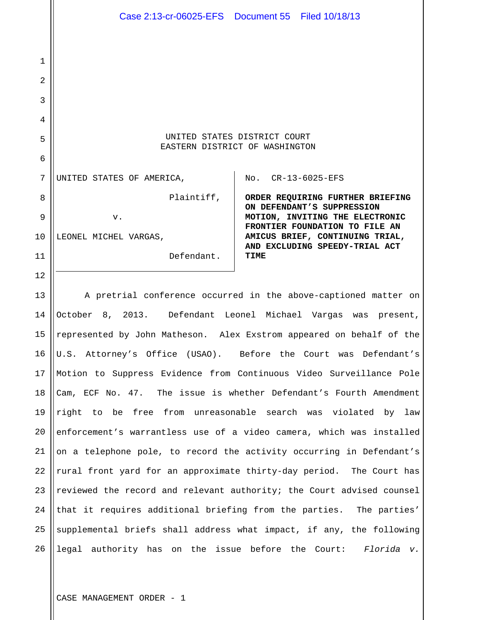1 2 3 4 5 6 7 8 9 10 11 12 13 14 15 16 17 18 19 20 21 22 23 24 25 26 UNITED STATES DISTRICT COURT EASTERN DISTRICT OF WASHINGTON UNITED STATES OF AMERICA, Plaintiff, v. LEONEL MICHEL VARGAS, Defendant. No. CR-13-6025-EFS **ORDER REQUIRING FURTHER BRIEFING ON DEFENDANT'S SUPPRESSION MOTION, INVITING THE ELECTRONIC FRONTIER FOUNDATION TO FILE AN AMICUS BRIEF, CONTINUING TRIAL, AND EXCLUDING SPEEDY-TRIAL ACT TIME**  A pretrial conference occurred in the above-captioned matter on October 8, 2013. Defendant Leonel Michael Vargas was present, represented by John Matheson. Alex Exstrom appeared on behalf of the U.S. Attorney's Office (USAO). Before the Court was Defendant's Motion to Suppress Evidence from Continuous Video Surveillance Pole Cam, ECF No. 47. The issue is whether Defendant's Fourth Amendment right to be free from unreasonable search was violated by law enforcement's warrantless use of a video camera, which was installed on a telephone pole, to record the activity occurring in Defendant's rural front yard for an approximate thirty-day period. The Court has reviewed the record and relevant authority; the Court advised counsel that it requires additional briefing from the parties. The parties' supplemental briefs shall address what impact, if any, the following legal authority has on the issue before the Court: *Florida v.*  Case 2:13-cr-06025-EFS Document 55 Filed 10/18/13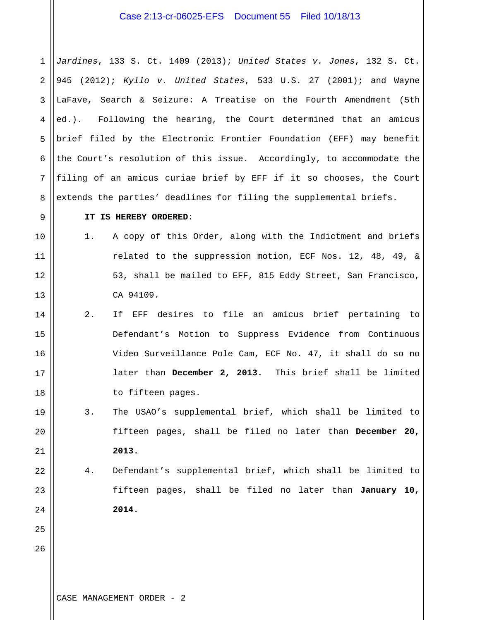# Case 2:13-cr-06025-EFS Document 55 Filed 10/18/13

1 2 3 4 5 6 7 8 *Jardines*, 133 S. Ct. 1409 (2013); *United States v. Jones*, 132 S. Ct. 945 (2012); *Kyllo v. United States*, 533 U.S. 27 (2001); and Wayne LaFave, Search & Seizure: A Treatise on the Fourth Amendment (5th ed.). Following the hearing, the Court determined that an amicus brief filed by the Electronic Frontier Foundation (EFF) may benefit the Court's resolution of this issue. Accordingly, to accommodate the filing of an amicus curiae brief by EFF if it so chooses, the Court extends the parties' deadlines for filing the supplemental briefs.

#### **IT IS HEREBY ORDERED**:

- 1. A copy of this Order, along with the Indictment and briefs related to the suppression motion, ECF Nos. 12, 48, 49, & 53, shall be mailed to EFF, 815 Eddy Street, San Francisco, CA 94109.
- 14 15 16 17 18 2. If EFF desires to file an amicus brief pertaining to Defendant's Motion to Suppress Evidence from Continuous Video Surveillance Pole Cam, ECF No. 47, it shall do so no later than **December 2, 2013.** This brief shall be limited to fifteen pages.
- 19 20 21 3. The USAO's supplemental brief, which shall be limited to fifteen pages, shall be filed no later than **December 20, 2013**.
- 22 23 24 4. Defendant's supplemental brief, which shall be limited to fifteen pages, shall be filed no later than **January 10, 2014.**

26

25

9

10

11

12

13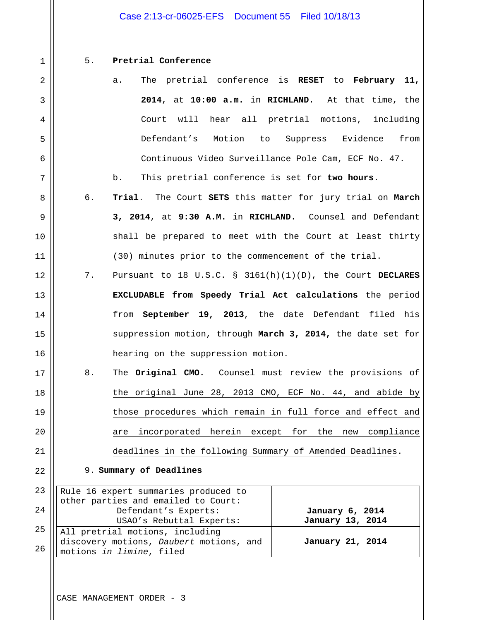# Case 2:13-cr-06025-EFS Document 55 Filed 10/18/13

1 2

3

4

5

6

7

8

9

10

11

12

13

14

15

16

17

18

19

20

21

22

### 5. **Pretrial Conference**

- a. The pretrial conference is **RESET** to **February 11, 2014**, at **10:00 a.m.** in **RICHLAND**. At that time, the Court will hear all pretrial motions, including Defendant's Motion to Suppress Evidence from Continuous Video Surveillance Pole Cam, ECF No. 47.
- b. This pretrial conference is set for **two hours**.
- 6. **Trial**. The Court **SETS** this matter for jury trial on **March 3, 2014**, at **9:30 A.M.** in **RICHLAND**. Counsel and Defendant shall be prepared to meet with the Court at least thirty (30) minutes prior to the commencement of the trial.
- 7. Pursuant to 18 U.S.C. § 3161(h)(1)(D), the Court **DECLARES EXCLUDABLE from Speedy Trial Act calculations** the period from **September 19, 2013**, the date Defendant filed his suppression motion, through **March 3, 2014,** the date set for hearing on the suppression motion.
	- 8. The **Original CMO.** Counsel must review the provisions of the original June 28, 2013 CMO, ECF No. 44, and abide by those procedures which remain in full force and effect and are incorporated herein except for the new compliance deadlines in the following Summary of Amended Deadlines.

#### 9. **Summary of Deadlines**

|    | 23 Rule 16 expert summaries produced to<br>other parties and emailed to Court:                                     |                  |
|----|--------------------------------------------------------------------------------------------------------------------|------------------|
|    |                                                                                                                    |                  |
| 24 | Defendant's Experts:                                                                                               | January 6, 2014  |
|    | USAO's Rebuttal Experts:                                                                                           | January 13, 2014 |
|    | 25 All pretrial motions, including<br>26 All pretrial motions, Daubert motions, and<br>26 motions in limine, filed |                  |
|    |                                                                                                                    | January 21, 2014 |
|    |                                                                                                                    |                  |